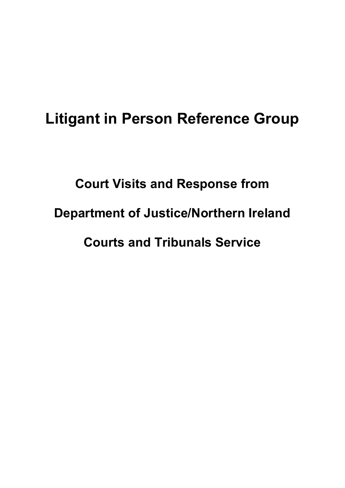## Litigant in Person Reference Group

# Court Visits and Response from Department of Justice/Northern Ireland Courts and Tribunals Service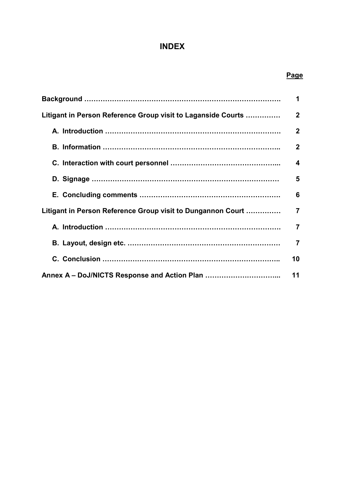#### INDEX

#### **Page**

|                                                              | 1                       |
|--------------------------------------------------------------|-------------------------|
| Litigant in Person Reference Group visit to Laganside Courts | $\overline{2}$          |
|                                                              | $\mathbf 2$             |
|                                                              | $\mathbf{2}$            |
|                                                              | $\overline{\mathbf{4}}$ |
|                                                              | 5                       |
|                                                              | 6                       |
| Litigant in Person Reference Group visit to Dungannon Court  | $\overline{7}$          |
|                                                              | $\overline{7}$          |
|                                                              | $\overline{7}$          |
|                                                              | 10                      |
|                                                              | 11                      |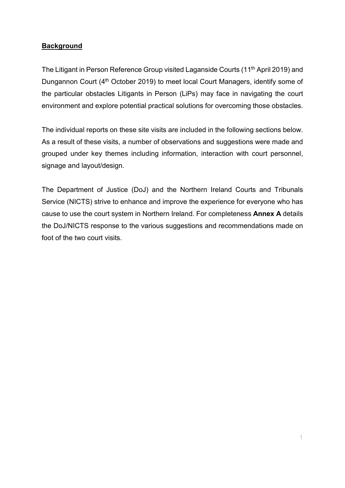#### **Background**

The Litigant in Person Reference Group visited Laganside Courts (11th April 2019) and Dungannon Court (4<sup>th</sup> October 2019) to meet local Court Managers, identify some of the particular obstacles Litigants in Person (LiPs) may face in navigating the court environment and explore potential practical solutions for overcoming those obstacles.

The individual reports on these site visits are included in the following sections below. As a result of these visits, a number of observations and suggestions were made and grouped under key themes including information, interaction with court personnel, signage and layout/design.

The Department of Justice (DoJ) and the Northern Ireland Courts and Tribunals Service (NICTS) strive to enhance and improve the experience for everyone who has cause to use the court system in Northern Ireland. For completeness Annex A details the DoJ/NICTS response to the various suggestions and recommendations made on foot of the two court visits.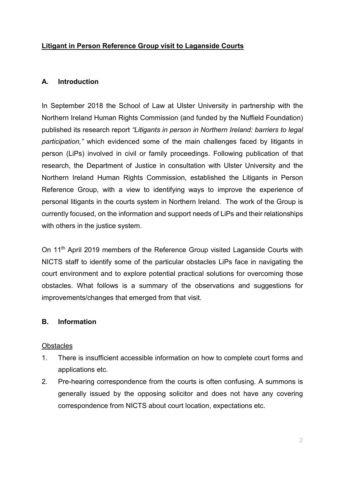#### Litigant in Person Reference Group visit to Laganside Courts

#### A. Introduction

In September 2018 the School of Law at Ulster University in partnership with the Northern Ireland Human Rights Commission (and funded by the Nuffield Foundation) published its research report "Litigants in person in Northern Ireland: barriers to legal participation," which evidenced some of the main challenges faced by litigants in person (LiPs) involved in civil or family proceedings. Following publication of that research, the Department of Justice in consultation with Ulster University and the Northern Ireland Human Rights Commission, established the Litigants in Person Reference Group, with a view to identifying ways to improve the experience of personal litigants in the courts system in Northern Ireland. The work of the Group is currently focused, on the information and support needs of LiPs and their relationships with others in the justice system.

On 11<sup>th</sup> April 2019 members of the Reference Group visited Laganside Courts with NICTS staff to identify some of the particular obstacles LiPs face in navigating the court environment and to explore potential practical solutions for overcoming those obstacles. What follows is a summary of the observations and suggestions for improvements/changes that emerged from that visit.

#### B. Information

#### **Obstacles**

- 1. There is insufficient accessible information on how to complete court forms and applications etc.
- 2. Pre-hearing correspondence from the courts is often confusing. A summons is generally issued by the opposing solicitor and does not have any covering correspondence from NICTS about court location, expectations etc.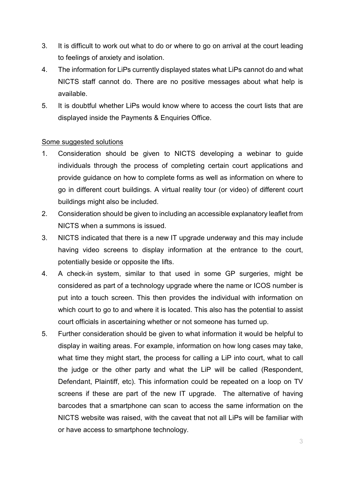- 3. It is difficult to work out what to do or where to go on arrival at the court leading to feelings of anxiety and isolation.
- 4. The information for LiPs currently displayed states what LiPs cannot do and what NICTS staff cannot do. There are no positive messages about what help is available.
- 5. It is doubtful whether LiPs would know where to access the court lists that are displayed inside the Payments & Enquiries Office.

#### Some suggested solutions

- 1. Consideration should be given to NICTS developing a webinar to guide individuals through the process of completing certain court applications and provide guidance on how to complete forms as well as information on where to go in different court buildings. A virtual reality tour (or video) of different court buildings might also be included.
- 2. Consideration should be given to including an accessible explanatory leaflet from NICTS when a summons is issued.
- 3. NICTS indicated that there is a new IT upgrade underway and this may include having video screens to display information at the entrance to the court, potentially beside or opposite the lifts.
- 4. A check-in system, similar to that used in some GP surgeries, might be considered as part of a technology upgrade where the name or ICOS number is put into a touch screen. This then provides the individual with information on which court to go to and where it is located. This also has the potential to assist court officials in ascertaining whether or not someone has turned up.
- 5. Further consideration should be given to what information it would be helpful to display in waiting areas. For example, information on how long cases may take, what time they might start, the process for calling a LiP into court, what to call the judge or the other party and what the LiP will be called (Respondent, Defendant, Plaintiff, etc). This information could be repeated on a loop on TV screens if these are part of the new IT upgrade. The alternative of having barcodes that a smartphone can scan to access the same information on the NICTS website was raised, with the caveat that not all LiPs will be familiar with or have access to smartphone technology.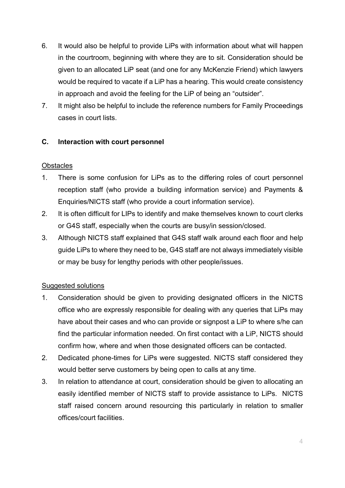- 6. It would also be helpful to provide LiPs with information about what will happen in the courtroom, beginning with where they are to sit. Consideration should be given to an allocated LiP seat (and one for any McKenzie Friend) which lawyers would be required to vacate if a LiP has a hearing. This would create consistency in approach and avoid the feeling for the LiP of being an "outsider".
- 7. It might also be helpful to include the reference numbers for Family Proceedings cases in court lists.

#### C. Interaction with court personnel

#### **Obstacles**

- 1. There is some confusion for LiPs as to the differing roles of court personnel reception staff (who provide a building information service) and Payments & Enquiries/NICTS staff (who provide a court information service).
- 2. It is often difficult for LIPs to identify and make themselves known to court clerks or G4S staff, especially when the courts are busy/in session/closed.
- 3. Although NICTS staff explained that G4S staff walk around each floor and help guide LiPs to where they need to be, G4S staff are not always immediately visible or may be busy for lengthy periods with other people/issues.

#### Suggested solutions

- 1. Consideration should be given to providing designated officers in the NICTS office who are expressly responsible for dealing with any queries that LiPs may have about their cases and who can provide or signpost a LiP to where s/he can find the particular information needed. On first contact with a LiP, NICTS should confirm how, where and when those designated officers can be contacted.
- 2. Dedicated phone-times for LiPs were suggested. NICTS staff considered they would better serve customers by being open to calls at any time.
- 3. In relation to attendance at court, consideration should be given to allocating an easily identified member of NICTS staff to provide assistance to LiPs. NICTS staff raised concern around resourcing this particularly in relation to smaller offices/court facilities.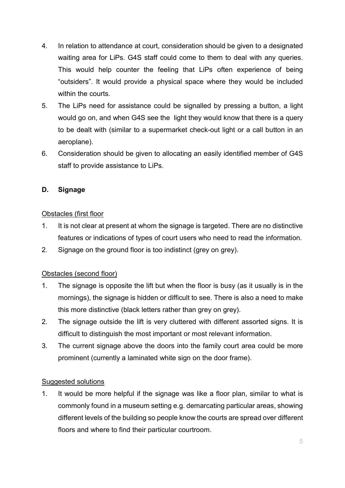- 4. In relation to attendance at court, consideration should be given to a designated waiting area for LiPs. G4S staff could come to them to deal with any queries. This would help counter the feeling that LiPs often experience of being "outsiders". It would provide a physical space where they would be included within the courts.
- 5. The LiPs need for assistance could be signalled by pressing a button, a light would go on, and when G4S see the light they would know that there is a query to be dealt with (similar to a supermarket check-out light or a call button in an aeroplane).
- 6. Consideration should be given to allocating an easily identified member of G4S staff to provide assistance to LiPs.

#### D. Signage

#### Obstacles (first floor

- 1. It is not clear at present at whom the signage is targeted. There are no distinctive features or indications of types of court users who need to read the information.
- 2. Signage on the ground floor is too indistinct (grey on grey).

#### Obstacles (second floor)

- 1. The signage is opposite the lift but when the floor is busy (as it usually is in the mornings), the signage is hidden or difficult to see. There is also a need to make this more distinctive (black letters rather than grey on grey).
- 2. The signage outside the lift is very cluttered with different assorted signs. It is difficult to distinguish the most important or most relevant information.
- 3. The current signage above the doors into the family court area could be more prominent (currently a laminated white sign on the door frame).

#### Suggested solutions

1. It would be more helpful if the signage was like a floor plan, similar to what is commonly found in a museum setting e.g. demarcating particular areas, showing different levels of the building so people know the courts are spread over different floors and where to find their particular courtroom.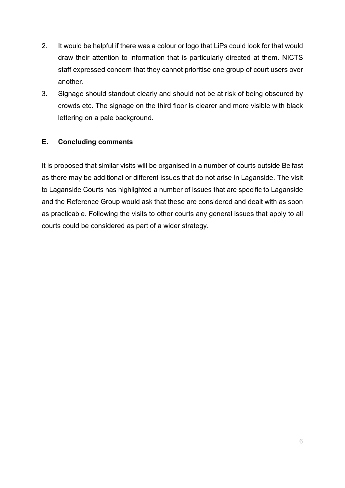- 2. It would be helpful if there was a colour or logo that LiPs could look for that would draw their attention to information that is particularly directed at them. NICTS staff expressed concern that they cannot prioritise one group of court users over another.
- 3. Signage should standout clearly and should not be at risk of being obscured by crowds etc. The signage on the third floor is clearer and more visible with black lettering on a pale background.

#### E. Concluding comments

It is proposed that similar visits will be organised in a number of courts outside Belfast as there may be additional or different issues that do not arise in Laganside. The visit to Laganside Courts has highlighted a number of issues that are specific to Laganside and the Reference Group would ask that these are considered and dealt with as soon as practicable. Following the visits to other courts any general issues that apply to all courts could be considered as part of a wider strategy.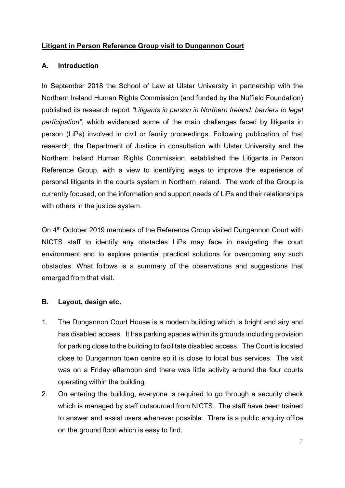#### Litigant in Person Reference Group visit to Dungannon Court

#### A. Introduction

In September 2018 the School of Law at Ulster University in partnership with the Northern Ireland Human Rights Commission (and funded by the Nuffield Foundation) published its research report "Litigants in person in Northern Ireland: barriers to legal participation", which evidenced some of the main challenges faced by litigants in person (LiPs) involved in civil or family proceedings. Following publication of that research, the Department of Justice in consultation with Ulster University and the Northern Ireland Human Rights Commission, established the Litigants in Person Reference Group, with a view to identifying ways to improve the experience of personal litigants in the courts system in Northern Ireland. The work of the Group is currently focused, on the information and support needs of LiPs and their relationships with others in the justice system.

On 4th October 2019 members of the Reference Group visited Dungannon Court with NICTS staff to identify any obstacles LiPs may face in navigating the court environment and to explore potential practical solutions for overcoming any such obstacles. What follows is a summary of the observations and suggestions that emerged from that visit.

#### B. Layout, design etc.

- 1. The Dungannon Court House is a modern building which is bright and airy and has disabled access. It has parking spaces within its grounds including provision for parking close to the building to facilitate disabled access. The Court is located close to Dungannon town centre so it is close to local bus services. The visit was on a Friday afternoon and there was little activity around the four courts operating within the building.
- 2. On entering the building, everyone is required to go through a security check which is managed by staff outsourced from NICTS. The staff have been trained to answer and assist users whenever possible. There is a public enquiry office on the ground floor which is easy to find.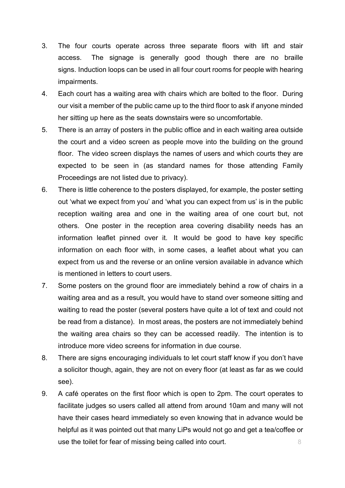- 3. The four courts operate across three separate floors with lift and stair access. The signage is generally good though there are no braille signs. Induction loops can be used in all four court rooms for people with hearing impairments.
- 4. Each court has a waiting area with chairs which are bolted to the floor. During our visit a member of the public came up to the third floor to ask if anyone minded her sitting up here as the seats downstairs were so uncomfortable.
- 5. There is an array of posters in the public office and in each waiting area outside the court and a video screen as people move into the building on the ground floor. The video screen displays the names of users and which courts they are expected to be seen in (as standard names for those attending Family Proceedings are not listed due to privacy).
- 6. There is little coherence to the posters displayed, for example, the poster setting out 'what we expect from you' and 'what you can expect from us' is in the public reception waiting area and one in the waiting area of one court but, not others. One poster in the reception area covering disability needs has an information leaflet pinned over it. It would be good to have key specific information on each floor with, in some cases, a leaflet about what you can expect from us and the reverse or an online version available in advance which is mentioned in letters to court users.
- 7. Some posters on the ground floor are immediately behind a row of chairs in a waiting area and as a result, you would have to stand over someone sitting and waiting to read the poster (several posters have quite a lot of text and could not be read from a distance). In most areas, the posters are not immediately behind the waiting area chairs so they can be accessed readily. The intention is to introduce more video screens for information in due course.
- 8. There are signs encouraging individuals to let court staff know if you don't have a solicitor though, again, they are not on every floor (at least as far as we could see).
- 9. A café operates on the first floor which is open to 2pm. The court operates to facilitate judges so users called all attend from around 10am and many will not have their cases heard immediately so even knowing that in advance would be helpful as it was pointed out that many LiPs would not go and get a tea/coffee or use the toilet for fear of missing being called into court.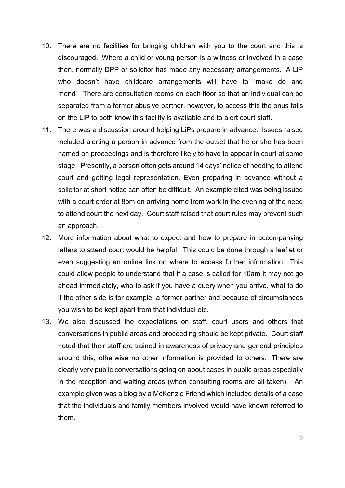- 10. There are no facilities for bringing children with you to the court and this is discouraged. Where a child or young person is a witness or involved in a case then, normally DPP or solicitor has made any necessary arrangements. A LiP who doesn't have childcare arrangements will have to 'make do and mend'. There are consultation rooms on each floor so that an individual can be separated from a former abusive partner, however, to access this the onus falls on the LiP to both know this facility is available and to alert court staff.
- 11. There was a discussion around helping LiPs prepare in advance. Issues raised included alerting a person in advance from the outset that he or she has been named on proceedings and is therefore likely to have to appear in court at some stage. Presently, a person often gets around 14 days' notice of needing to attend court and getting legal representation. Even preparing in advance without a solicitor at short notice can often be difficult. An example cited was being issued with a court order at 8pm on arriving home from work in the evening of the need to attend court the next day. Court staff raised that court rules may prevent such an approach.
- 12. More information about what to expect and how to prepare in accompanying letters to attend court would be helpful. This could be done through a leaflet or even suggesting an online link on where to access further information. This could allow people to understand that if a case is called for 10am it may not go ahead immediately, who to ask if you have a query when you arrive, what to do if the other side is for example, a former partner and because of circumstances you wish to be kept apart from that individual etc.
- 13. We also discussed the expectations on staff, court users and others that conversations in public areas and proceeding should be kept private. Court staff noted that their staff are trained in awareness of privacy and general principles around this, otherwise no other information is provided to others. There are clearly very public conversations going on about cases in public areas especially in the reception and waiting areas (when consulting rooms are all taken). An example given was a blog by a McKenzie Friend which included details of a case that the individuals and family members involved would have known referred to them.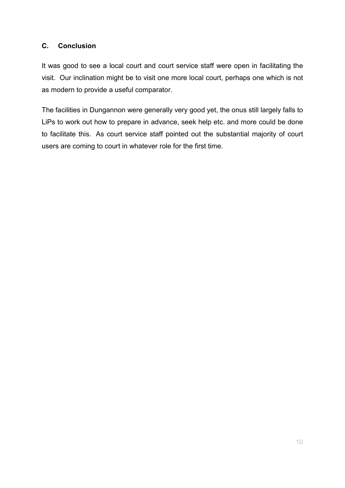#### C. Conclusion

It was good to see a local court and court service staff were open in facilitating the visit. Our inclination might be to visit one more local court, perhaps one which is not as modern to provide a useful comparator.

The facilities in Dungannon were generally very good yet, the onus still largely falls to LiPs to work out how to prepare in advance, seek help etc. and more could be done to facilitate this. As court service staff pointed out the substantial majority of court users are coming to court in whatever role for the first time.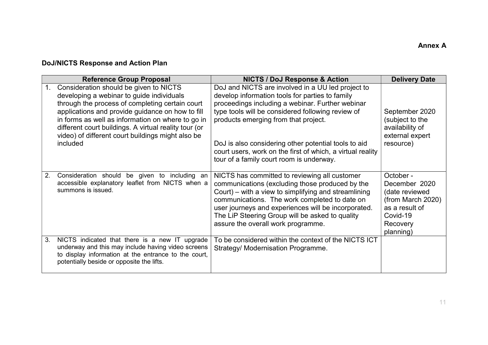### DoJ/NICTS Response and Action Plan

|    | <b>Reference Group Proposal</b>                                                                                                                                                                                                                                                                                                                                           | <b>NICTS / DoJ Response &amp; Action</b>                                                                                                                                                                                                                                                                                                                                                                                | <b>Delivery Date</b>                                                                                                     |
|----|---------------------------------------------------------------------------------------------------------------------------------------------------------------------------------------------------------------------------------------------------------------------------------------------------------------------------------------------------------------------------|-------------------------------------------------------------------------------------------------------------------------------------------------------------------------------------------------------------------------------------------------------------------------------------------------------------------------------------------------------------------------------------------------------------------------|--------------------------------------------------------------------------------------------------------------------------|
| 1. | Consideration should be given to NICTS<br>developing a webinar to guide individuals<br>through the process of completing certain court<br>applications and provide guidance on how to fill<br>in forms as well as information on where to go in<br>different court buildings. A virtual reality tour (or<br>video) of different court buildings might also be<br>included | DoJ and NICTS are involved in a UU led project to<br>develop information tools for parties to family<br>proceedings including a webinar. Further webinar<br>type tools will be considered following review of<br>products emerging from that project.<br>DoJ is also considering other potential tools to aid<br>court users, work on the first of which, a virtual reality<br>tour of a family court room is underway. | September 2020<br>(subject to the<br>availability of<br>external expert<br>resource)                                     |
| 2. | Consideration should<br>be given to including<br>an<br>accessible explanatory leaflet from NICTS when a<br>summons is issued.                                                                                                                                                                                                                                             | NICTS has committed to reviewing all customer<br>communications (excluding those produced by the<br>Court) – with a view to simplifying and streamlining<br>communications. The work completed to date on<br>user journeys and experiences will be incorporated.<br>The LiP Steering Group will be asked to quality<br>assure the overall work programme.                                                               | October -<br>December 2020<br>(date reviewed<br>(from March 2020)<br>as a result of<br>Covid-19<br>Recovery<br>planning) |
| 3. | NICTS indicated that there is a new IT upgrade<br>underway and this may include having video screens<br>to display information at the entrance to the court,<br>potentially beside or opposite the lifts.                                                                                                                                                                 | To be considered within the context of the NICTS ICT<br>Strategy/ Modernisation Programme.                                                                                                                                                                                                                                                                                                                              |                                                                                                                          |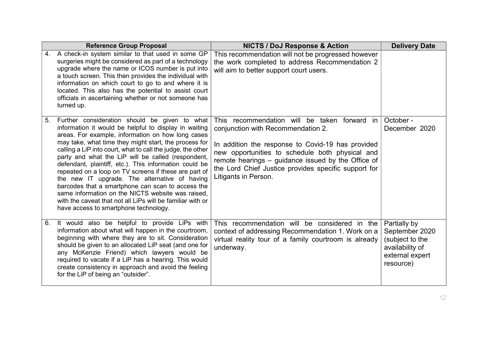|    | <b>Reference Group Proposal</b>                                                                                                                                                                                                                                                                                                                                                                                                                                                                                                                                                                                                                                                                                                | <b>NICTS / DoJ Response &amp; Action</b>                                                                                                                                                                                                                                                                                               | <b>Delivery Date</b>                                                                                 |
|----|--------------------------------------------------------------------------------------------------------------------------------------------------------------------------------------------------------------------------------------------------------------------------------------------------------------------------------------------------------------------------------------------------------------------------------------------------------------------------------------------------------------------------------------------------------------------------------------------------------------------------------------------------------------------------------------------------------------------------------|----------------------------------------------------------------------------------------------------------------------------------------------------------------------------------------------------------------------------------------------------------------------------------------------------------------------------------------|------------------------------------------------------------------------------------------------------|
| 4. | A check-in system similar to that used in some GP<br>surgeries might be considered as part of a technology<br>upgrade where the name or ICOS number is put into<br>a touch screen. This then provides the individual with<br>information on which court to go to and where it is<br>located. This also has the potential to assist court<br>officials in ascertaining whether or not someone has<br>turned up.                                                                                                                                                                                                                                                                                                                 | This recommendation will not be progressed however<br>the work completed to address Recommendation 2<br>will aim to better support court users.                                                                                                                                                                                        |                                                                                                      |
| 5. | Further consideration should be given to what<br>information it would be helpful to display in waiting<br>areas. For example, information on how long cases<br>may take, what time they might start, the process for<br>calling a LiP into court, what to call the judge, the other<br>party and what the LiP will be called (respondent,<br>defendant, plaintiff, etc.). This information could be<br>repeated on a loop on TV screens if these are part of<br>the new IT upgrade. The alternative of having<br>barcodes that a smartphone can scan to access the<br>same information on the NICTS website was raised.<br>with the caveat that not all LiPs will be familiar with or<br>have access to smartphone technology. | This recommendation will be taken<br>forward<br>in<br>conjunction with Recommendation 2.<br>In addition the response to Covid-19 has provided<br>new opportunities to schedule both physical and<br>remote hearings – guidance issued by the Office of<br>the Lord Chief Justice provides specific support for<br>Litigants in Person. | October -<br>December 2020                                                                           |
| 6. | It would also be helpful to provide LiPs with<br>information about what will happen in the courtroom,<br>beginning with where they are to sit. Consideration<br>should be given to an allocated LiP seat (and one for<br>any McKenzie Friend) which lawyers would be<br>required to vacate if a LiP has a hearing. This would<br>create consistency in approach and avoid the feeling<br>for the LiP of being an "outsider".                                                                                                                                                                                                                                                                                                   | This recommendation will be considered in the<br>context of addressing Recommendation 1. Work on a<br>virtual reality tour of a family courtroom is already<br>underway.                                                                                                                                                               | Partially by<br>September 2020<br>(subject to the<br>availability of<br>external expert<br>resource) |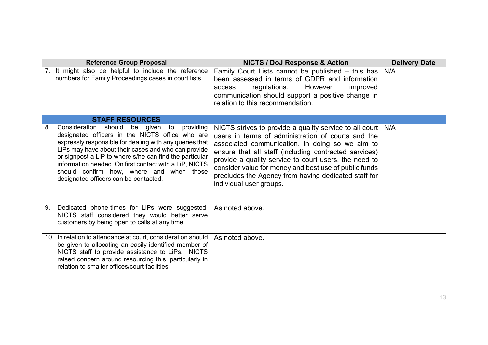|    | <b>Reference Group Proposal</b>                                                                                                                                                                                                                                                                                                                                                                                              | <b>NICTS / DoJ Response &amp; Action</b>                                                                                                                                                                                                                                                                                                                                                                                         | <b>Delivery Date</b> |
|----|------------------------------------------------------------------------------------------------------------------------------------------------------------------------------------------------------------------------------------------------------------------------------------------------------------------------------------------------------------------------------------------------------------------------------|----------------------------------------------------------------------------------------------------------------------------------------------------------------------------------------------------------------------------------------------------------------------------------------------------------------------------------------------------------------------------------------------------------------------------------|----------------------|
| 7. | It might also be helpful to include the reference<br>numbers for Family Proceedings cases in court lists.                                                                                                                                                                                                                                                                                                                    | Family Court Lists cannot be published $-$ this has<br>been assessed in terms of GDPR and information<br>However<br>regulations.<br>improved<br>access<br>communication should support a positive change in<br>relation to this recommendation.                                                                                                                                                                                  | N/A                  |
|    | <b>STAFF RESOURCES</b>                                                                                                                                                                                                                                                                                                                                                                                                       |                                                                                                                                                                                                                                                                                                                                                                                                                                  |                      |
| 8. | Consideration should be given to<br>providing<br>designated officers in the NICTS office who are<br>expressly responsible for dealing with any queries that<br>LiPs may have about their cases and who can provide<br>or signpost a LiP to where s/he can find the particular<br>information needed. On first contact with a LiP, NICTS<br>should confirm how, where and when those<br>designated officers can be contacted. | NICTS strives to provide a quality service to all court  <br>users in terms of administration of courts and the<br>associated communication. In doing so we aim to<br>ensure that all staff (including contracted services)<br>provide a quality service to court users, the need to<br>consider value for money and best use of public funds<br>precludes the Agency from having dedicated staff for<br>individual user groups. | N/A                  |
| 9. | Dedicated phone-times for LiPs were suggested.<br>NICTS staff considered they would better serve<br>customers by being open to calls at any time.                                                                                                                                                                                                                                                                            | As noted above.                                                                                                                                                                                                                                                                                                                                                                                                                  |                      |
|    | 10. In relation to attendance at court, consideration should<br>be given to allocating an easily identified member of<br>NICTS staff to provide assistance to LiPs. NICTS<br>raised concern around resourcing this, particularly in<br>relation to smaller offices/court facilities.                                                                                                                                         | As noted above.                                                                                                                                                                                                                                                                                                                                                                                                                  |                      |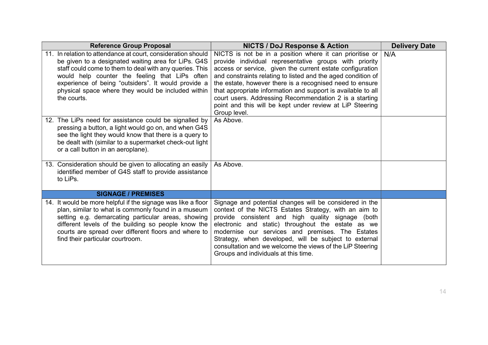| <b>Reference Group Proposal</b>                                                                                                                                                                                                                                                                                                                              | <b>NICTS / DoJ Response &amp; Action</b>                                                                                                                                                                                                                                                                                                                                                                                                                                                                                      | <b>Delivery Date</b> |
|--------------------------------------------------------------------------------------------------------------------------------------------------------------------------------------------------------------------------------------------------------------------------------------------------------------------------------------------------------------|-------------------------------------------------------------------------------------------------------------------------------------------------------------------------------------------------------------------------------------------------------------------------------------------------------------------------------------------------------------------------------------------------------------------------------------------------------------------------------------------------------------------------------|----------------------|
| 11. In relation to attendance at court, consideration should<br>be given to a designated waiting area for LiPs. G4S<br>staff could come to them to deal with any queries. This<br>would help counter the feeling that LiPs often<br>experience of being "outsiders". It would provide a<br>physical space where they would be included within<br>the courts. | NICTS is not be in a position where it can prioritise or $\vert$ N/A<br>provide individual representative groups with priority<br>access or service, given the current estate configuration<br>and constraints relating to listed and the aged condition of<br>the estate, however there is a recognised need to ensure<br>that appropriate information and support is available to all<br>court users. Addressing Recommendation 2 is a starting<br>point and this will be kept under review at LiP Steering<br>Group level. |                      |
| 12. The LiPs need for assistance could be signalled by<br>pressing a button, a light would go on, and when G4S<br>see the light they would know that there is a query to<br>be dealt with (similar to a supermarket check-out light<br>or a call button in an aeroplane).                                                                                    | As Above.                                                                                                                                                                                                                                                                                                                                                                                                                                                                                                                     |                      |
| 13. Consideration should be given to allocating an easily<br>identified member of G4S staff to provide assistance<br>to LiPs.                                                                                                                                                                                                                                | As Above.                                                                                                                                                                                                                                                                                                                                                                                                                                                                                                                     |                      |
| <b>SIGNAGE / PREMISES</b>                                                                                                                                                                                                                                                                                                                                    |                                                                                                                                                                                                                                                                                                                                                                                                                                                                                                                               |                      |
| 14. It would be more helpful if the signage was like a floor<br>plan, similar to what is commonly found in a museum<br>setting e.g. demarcating particular areas, showing<br>different levels of the building so people know the<br>courts are spread over different floors and where to<br>find their particular courtroom.                                 | Signage and potential changes will be considered in the<br>context of the NICTS Estates Strategy, with an aim to<br>provide consistent and high quality signage (both<br>electronic and static) throughout the estate as we<br>modernise our services and premises. The Estates<br>Strategy, when developed, will be subject to external<br>consultation and we welcome the views of the LiP Steering<br>Groups and individuals at this time.                                                                                 |                      |